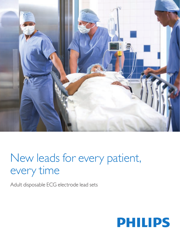

# New leads for every patient, every time

Adult disposable ECG electrode lead sets

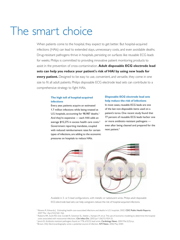# The smart choice

When patients come to the hospital, they expect to get better. But hospital-acquired infections (HAIs) can lead to extended stays, unnecessary costs, and even avoidable deaths. Drug-resistant pathogens thrive in hospitals, persisting on surfaces like reusable ECG leads for weeks. Philips is committed to providing innovative patient monitoring products to assist in the prevention of cross-contamination. **Adult disposable ECG electrode lead sets can help you reduce your patient's risk of HAI by using new leads for every patient.** Designed to be easy to use, convenient, and versatile, they come in one size to fit all adult patients. Philips disposable ECG electrode lead sets can contribute to a comprehensive strategy to fight HAIs.

## **The high toll of hospital-acquired infections**

Every year, patients acquire an estimated 1.7 million infections while being treated at U.S. hospitals, accounting for 98,987 deaths.<sup>1</sup> And they're expensive — each HAI adds an average \$15,275 in excess health care costs.2 Government reporting mandates, coupled with reduced reimbursement rates for certain types of infections, are adding to the economic pressures on hospitals to reduce HAIs.

# **Disposable ECG electrode lead sets help reduce the risk of infections**

In most cases, reusable ECG leads are one of the last non-disposable items used on a patient's torso. One recent study found that 77 percent of reusable ECG leads harbor one or more antibiotic-resistant pathogens even after being cleaned and prepared for the next patient.<sup>3</sup>



Available in 3- or 5-lead configurations, with metallic or radiolucent wires, Philips adult disposable ECG electrode lead sets can help caregivers reduce the risk of hospital-acquired infections.

- <sup>1</sup> Klevens R, Edwards J. Estimating health care-associated infections and deaths in U.S. hospitals, 2002. CDC Public Health Reports. 2007 Mar–Apr;(122):160–166.
- <sup>2</sup> Roberts RR, Scott RD 2nd, Cordell R, Solomon SL, Steele L, Kampe LM, et al. The use of economic modeling to determine the hospital costs associated with nosocomial infections. Clin Infect Dis. 2003 Jun 1;36(11):1424-32.
- <sup>3</sup> Jancin B. Antibiotic-resistant pathogens found on 77% of ECG lead wires. Cardiology News. 2004 Mar;2(3):n.p.
- 4 Brown, DQ. Electrocardiography wires: a potential source of infection. NTI News. 2006 May 24:B1.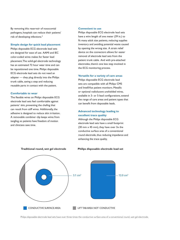By removing this reservoir of nosocomial pathogens, hospitals can reduce their patients' risk of developing infections.4

#### **Simple design for quick lead placement**

Philips disposable ECG electrode lead sets are designed for ease of use. AAMI and IEC color-coded wires makes for faster lead placement. The solid-gel electrode technology has an estimated 72 hour wear time and can be repositioned one time. Philips disposable ECG electrode lead sets do not need an adapter — they plug directly into the Philips trunk cable, saving a step and reducing reusable parts in contact with the patient.

#### **Comfortable to wear**

The flexible wires on Philips disposable ECG electrode lead sets feel comfortable against patients' skin, preventing the chafing that can result from stiff wires. Additionally, the adhesive is designed to reduce skin irritation. A removable combiner clip keeps wires from tangling, so patients have freedom of motion and clinicians save time.

#### **Convenient to use**

Philips disposable ECG electrode lead sets have a wire length of one meter (39 in.) to fit many adult size patients, reducing supplies inventory and avoiding potential waste caused by opening the wrong size. A strain relief device on the connectors allows for easier removal of electrode lead sets from the patient trunk cable. And with pre-attached electrodes, there's one less step involved in the ECG monitoring process.

#### **Versatile for a variety of care areas**

Philips disposable ECG electrode lead sets are compatible with all Philips CMS and IntelliVue patient monitors. Metallic or optional radiolucent unshielded wires, available in 3- or 5-lead configurations, extend the range of care areas and patient types that can benefit from disposable leads.

### **Advanced technology leading to excellent trace quality**

Although the Philips disposable ECG electrode lead sets have a small footprint (30 mm  $\times$  45 mm), they have over  $3\times$  the conductive surface area of a conventional round electrode, thus reducing impedance and enhancing the trace quality.

**Philips disposable electrode lead set**



#### **Traditional round, wet gel electrode**

Philips disposable electrode lead sets have over three times the conductive surface area of a conventional round, wet gel electrode.